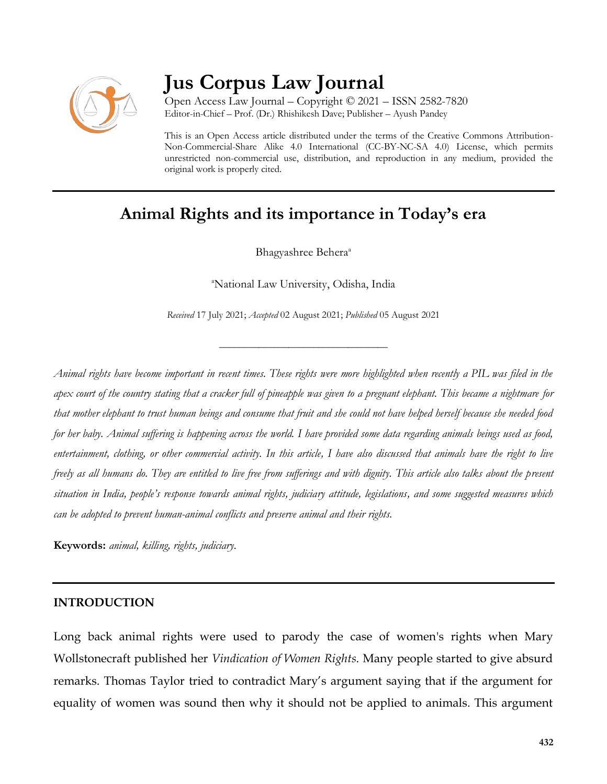

# **Jus Corpus Law Journal**

Open Access Law Journal – Copyright © 2021 – ISSN 2582-7820 Editor-in-Chief – Prof. (Dr.) Rhishikesh Dave; Publisher – Ayush Pandey

This is an Open Access article distributed under the terms of the Creative Commons Attribution-Non-Commercial-Share Alike 4.0 International (CC-BY-NC-SA 4.0) License, which permits unrestricted non-commercial use, distribution, and reproduction in any medium, provided the original work is properly cited.

# **Animal Rights and its importance in Today's era**

Bhagyashree Behera<sup>a</sup>

<sup>a</sup>National Law University, Odisha, India

*Received* 17 July 2021; *Accepted* 02 August 2021; *Published* 05 August 2021

\_\_\_\_\_\_\_\_\_\_\_\_\_\_\_\_\_\_\_\_\_\_\_\_\_\_\_\_\_\_\_\_\_\_

*Animal rights have become important in recent times. These rights were more highlighted when recently a PIL was filed in the apex court of the country stating that a cracker full of pineapple was given to a pregnant elephant. This became a nightmare for that mother elephant to trust human beings and consume that fruit and she could not have helped herself because she needed food for her baby. Animal suffering is happening across the world. I have provided some data regarding animals beings used as food, entertainment, clothing, or other commercial activity. In this article, I have also discussed that animals have the right to live freely as all humans do. They are entitled to live free from sufferings and with dignity. This article also talks about the present situation in India, people's response towards animal rights, judiciary attitude, legislations, and some suggested measures which can be adopted to prevent human-animal conflicts and preserve animal and their rights.* 

**Keywords:** *animal, killing, rights, judiciary.*

### **INTRODUCTION**

Long back animal rights were used to parody the case of women's rights when Mary Wollstonecraft published her *Vindication of Women Rights*. Many people started to give absurd remarks. Thomas Taylor tried to contradict Mary's argument saying that if the argument for equality of women was sound then why it should not be applied to animals. This argument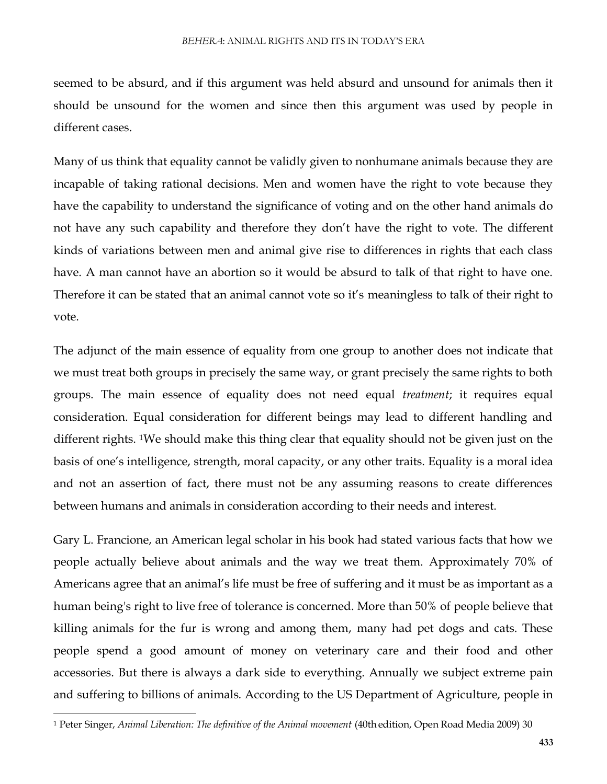seemed to be absurd, and if this argument was held absurd and unsound for animals then it should be unsound for the women and since then this argument was used by people in different cases.

Many of us think that equality cannot be validly given to nonhumane animals because they are incapable of taking rational decisions. Men and women have the right to vote because they have the capability to understand the significance of voting and on the other hand animals do not have any such capability and therefore they don't have the right to vote. The different kinds of variations between men and animal give rise to differences in rights that each class have. A man cannot have an abortion so it would be absurd to talk of that right to have one. Therefore it can be stated that an animal cannot vote so it's meaningless to talk of their right to vote.

The adjunct of the main essence of equality from one group to another does not indicate that we must treat both groups in precisely the same way, or grant precisely the same rights to both groups. The main essence of equality does not need equal *treatment*; it requires equal consideration. Equal consideration for different beings may lead to different handling and different rights. 1We should make this thing clear that equality should not be given just on the basis of one's intelligence, strength, moral capacity, or any other traits. Equality is a moral idea and not an assertion of fact, there must not be any assuming reasons to create differences between humans and animals in consideration according to their needs and interest.

Gary L. Francione, an American legal scholar in his book had stated various facts that how we people actually believe about animals and the way we treat them. Approximately 70% of Americans agree that an animal's life must be free of suffering and it must be as important as a human being's right to live free of tolerance is concerned. More than 50% of people believe that killing animals for the fur is wrong and among them, many had pet dogs and cats. These people spend a good amount of money on veterinary care and their food and other accessories. But there is always a dark side to everything. Annually we subject extreme pain and suffering to billions of animals. According to the US Department of Agriculture, people in

 $\overline{\phantom{a}}$ 

<sup>&</sup>lt;sup>1</sup> Peter Singer, *Animal Liberation: The definitive of the Animal movement* (40th edition, Open Road Media 2009) 30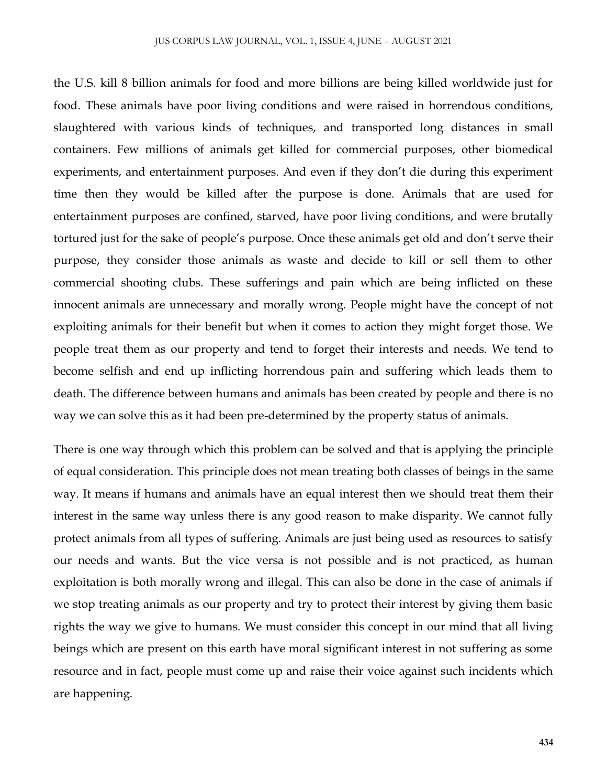the U.S. kill 8 billion animals for food and more billions are being killed worldwide just for food. These animals have poor living conditions and were raised in horrendous conditions, slaughtered with various kinds of techniques, and transported long distances in small containers. Few millions of animals get killed for commercial purposes, other biomedical experiments, and entertainment purposes. And even if they don't die during this experiment time then they would be killed after the purpose is done. Animals that are used for entertainment purposes are confined, starved, have poor living conditions, and were brutally tortured just for the sake of people's purpose. Once these animals get old and don't serve their purpose, they consider those animals as waste and decide to kill or sell them to other commercial shooting clubs. These sufferings and pain which are being inflicted on these innocent animals are unnecessary and morally wrong. People might have the concept of not exploiting animals for their benefit but when it comes to action they might forget those. We people treat them as our property and tend to forget their interests and needs. We tend to become selfish and end up inflicting horrendous pain and suffering which leads them to death. The difference between humans and animals has been created by people and there is no way we can solve this as it had been pre-determined by the property status of animals.

There is one way through which this problem can be solved and that is applying the principle of equal consideration. This principle does not mean treating both classes of beings in the same way. It means if humans and animals have an equal interest then we should treat them their interest in the same way unless there is any good reason to make disparity. We cannot fully protect animals from all types of suffering. Animals are just being used as resources to satisfy our needs and wants. But the vice versa is not possible and is not practiced, as human exploitation is both morally wrong and illegal. This can also be done in the case of animals if we stop treating animals as our property and try to protect their interest by giving them basic rights the way we give to humans. We must consider this concept in our mind that all living beings which are present on this earth have moral significant interest in not suffering as some resource and in fact, people must come up and raise their voice against such incidents which are happening.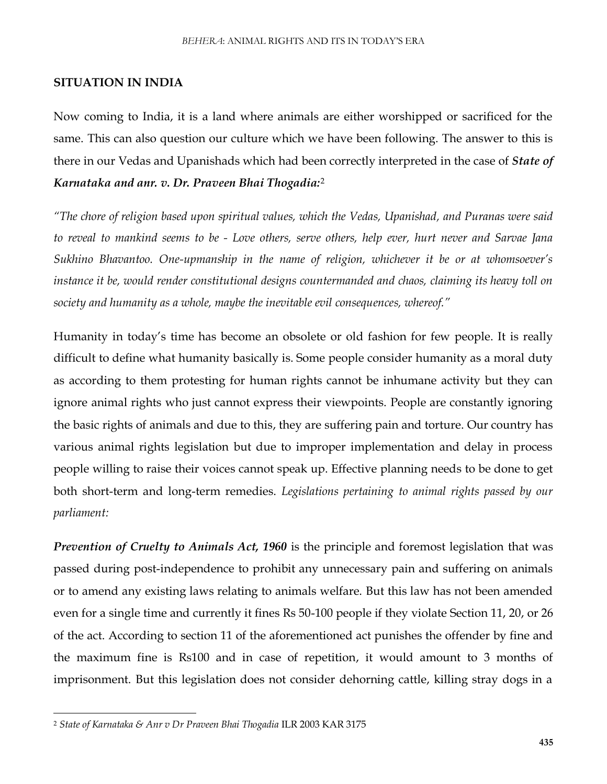#### **SITUATION IN INDIA**

Now coming to India, it is a land where animals are either worshipped or sacrificed for the same. This can also question our culture which we have been following. The answer to this is there in our Vedas and Upanishads which had been correctly interpreted in the case of *State of Karnataka and anr. v. Dr. Praveen Bhai Thogadia:*<sup>2</sup>

*"The chore of religion based upon spiritual values, which the Vedas, Upanishad, and Puranas were said to reveal to mankind seems to be - Love others, serve others, help ever, hurt never and Sarvae Jana Sukhino Bhavantoo. One-upmanship in the name of religion, whichever it be or at whomsoever's instance it be, would render constitutional designs countermanded and chaos, claiming its heavy toll on society and humanity as a whole, maybe the inevitable evil consequences, whereof."*

Humanity in today's time has become an obsolete or old fashion for few people. It is really difficult to define what humanity basically is. Some people consider humanity as a moral duty as according to them protesting for human rights cannot be inhumane activity but they can ignore animal rights who just cannot express their viewpoints. People are constantly ignoring the basic rights of animals and due to this, they are suffering pain and torture. Our country has various animal rights legislation but due to improper implementation and delay in process people willing to raise their voices cannot speak up. Effective planning needs to be done to get both short-term and long-term remedies. *Legislations pertaining to animal rights passed by our parliament:*

*Prevention of Cruelty to Animals Act, 1960* is the principle and foremost legislation that was passed during post-independence to prohibit any unnecessary pain and suffering on animals or to amend any existing laws relating to animals welfare. But this law has not been amended even for a single time and currently it fines Rs 50-100 people if they violate Section 11, 20, or 26 of the act. According to section 11 of the aforementioned act punishes the offender by fine and the maximum fine is Rs100 and in case of repetition, it would amount to 3 months of imprisonment. But this legislation does not consider dehorning cattle, killing stray dogs in a

 $\overline{\phantom{a}}$ 

<sup>2</sup> *State of Karnataka & Anr v Dr Praveen Bhai Thogadia* ILR 2003 KAR 3175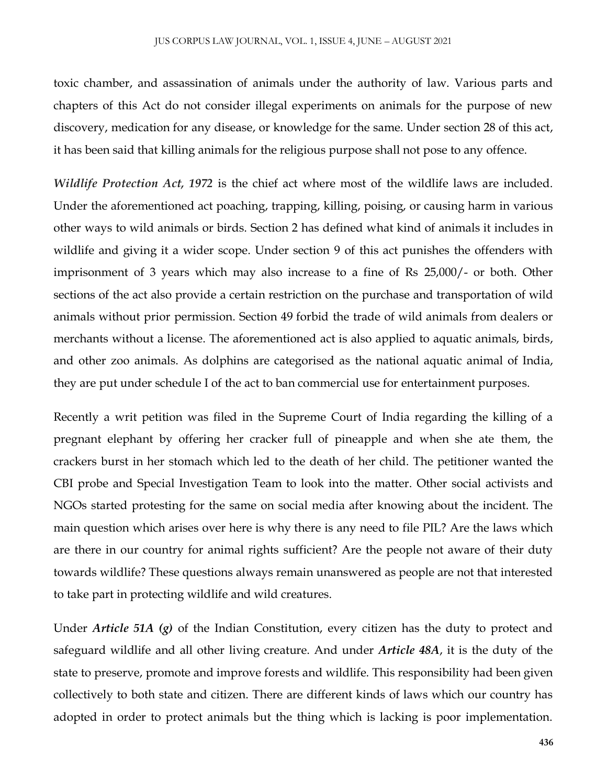toxic chamber, and assassination of animals under the authority of law. Various parts and chapters of this Act do not consider illegal experiments on animals for the purpose of new discovery, medication for any disease, or knowledge for the same. Under section 28 of this act, it has been said that killing animals for the religious purpose shall not pose to any offence.

*Wildlife Protection Act, 1972* is the chief act where most of the wildlife laws are included. Under the aforementioned act poaching, trapping, killing, poising, or causing harm in various other ways to wild animals or birds. Section 2 has defined what kind of animals it includes in wildlife and giving it a wider scope. Under section 9 of this act punishes the offenders with imprisonment of 3 years which may also increase to a fine of Rs 25,000/- or both. Other sections of the act also provide a certain restriction on the purchase and transportation of wild animals without prior permission. Section 49 forbid the trade of wild animals from dealers or merchants without a license. The aforementioned act is also applied to aquatic animals, birds, and other zoo animals. As dolphins are categorised as the national aquatic animal of India, they are put under schedule I of the act to ban commercial use for entertainment purposes.

Recently a writ petition was filed in the Supreme Court of India regarding the killing of a pregnant elephant by offering her cracker full of pineapple and when she ate them, the crackers burst in her stomach which led to the death of her child. The petitioner wanted the CBI probe and Special Investigation Team to look into the matter. Other social activists and NGOs started protesting for the same on social media after knowing about the incident. The main question which arises over here is why there is any need to file PIL? Are the laws which are there in our country for animal rights sufficient? Are the people not aware of their duty towards wildlife? These questions always remain unanswered as people are not that interested to take part in protecting wildlife and wild creatures.

Under *Article 51A (g)* of the Indian Constitution, every citizen has the duty to protect and safeguard wildlife and all other living creature. And under *Article 48A*, it is the duty of the state to preserve, promote and improve forests and wildlife. This responsibility had been given collectively to both state and citizen. There are different kinds of laws which our country has adopted in order to protect animals but the thing which is lacking is poor implementation.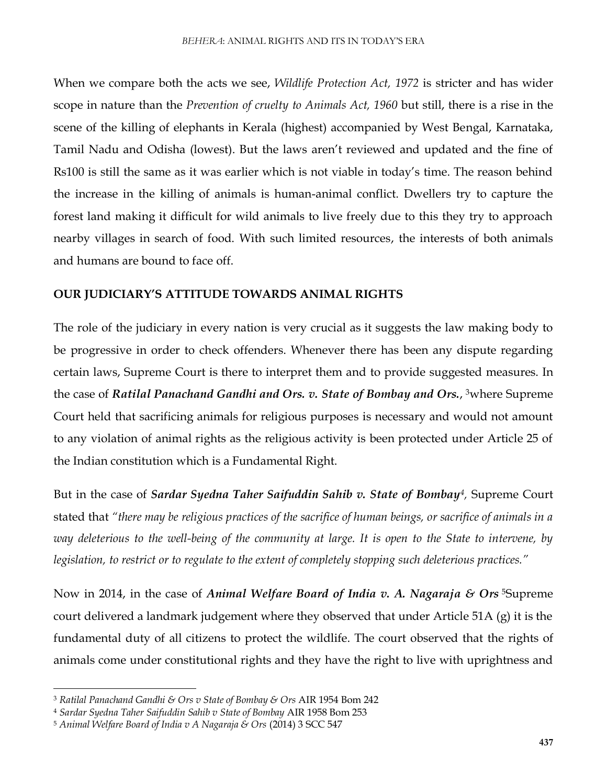When we compare both the acts we see, *Wildlife Protection Act, 1972* is stricter and has wider scope in nature than the *Prevention of cruelty to Animals Act, 1960* but still, there is a rise in the scene of the killing of elephants in Kerala (highest) accompanied by West Bengal, Karnataka, Tamil Nadu and Odisha (lowest). But the laws aren't reviewed and updated and the fine of Rs100 is still the same as it was earlier which is not viable in today's time. The reason behind the increase in the killing of animals is human-animal conflict. Dwellers try to capture the forest land making it difficult for wild animals to live freely due to this they try to approach nearby villages in search of food. With such limited resources, the interests of both animals and humans are bound to face off.

# **OUR JUDICIARY'S ATTITUDE TOWARDS ANIMAL RIGHTS**

The role of the judiciary in every nation is very crucial as it suggests the law making body to be progressive in order to check offenders. Whenever there has been any dispute regarding certain laws, Supreme Court is there to interpret them and to provide suggested measures. In the case of *Ratilal Panachand Gandhi and Ors. v. State of Bombay and Ors.,* <sup>3</sup>where Supreme Court held that sacrificing animals for religious purposes is necessary and would not amount to any violation of animal rights as the religious activity is been protected under Article 25 of the Indian constitution which is a Fundamental Right.

But in the case of *Sardar Syedna Taher Saifuddin Sahib v. State of Bombay<sup>4</sup>, Supreme Court* stated that *"there may be religious practices of the sacrifice of human beings, or sacrifice of animals in a way deleterious to the well-being of the community at large. It is open to the State to intervene, by legislation, to restrict or to regulate to the extent of completely stopping such deleterious practices."*

Now in 2014, in the case of *Animal Welfare Board of India v. A. Nagaraja & Ors* <sup>5</sup>Supreme court delivered a landmark judgement where they observed that under Article 51A (g) it is the fundamental duty of all citizens to protect the wildlife. The court observed that the rights of animals come under constitutional rights and they have the right to live with uprightness and

 $\overline{\phantom{a}}$ 

<sup>3</sup> *Ratilal Panachand Gandhi & Ors v State of Bombay & Ors* AIR 1954 Bom 242

<sup>4</sup> *Sardar Syedna Taher Saifuddin Sahib v State of Bombay* AIR 1958 Bom 253

<sup>5</sup> *Animal Welfare Board of India v A Nagaraja & Ors* (2014) 3 SCC 547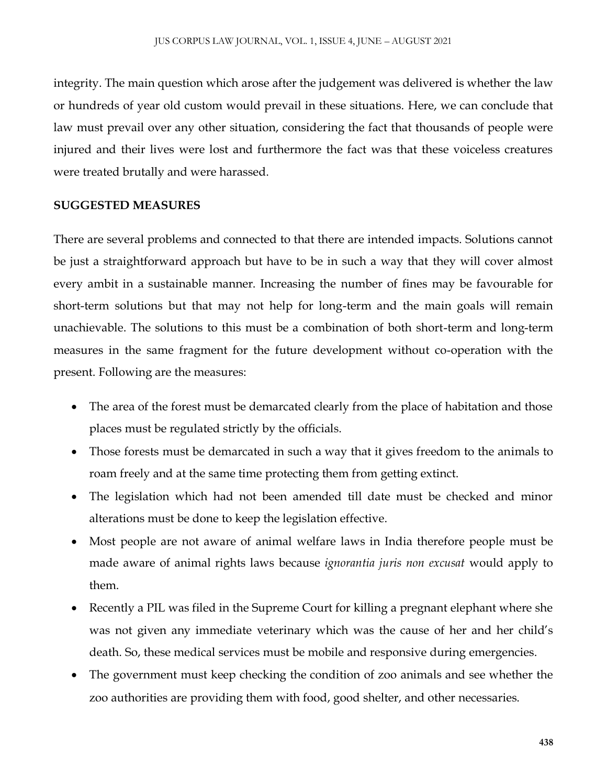integrity. The main question which arose after the judgement was delivered is whether the law or hundreds of year old custom would prevail in these situations. Here, we can conclude that law must prevail over any other situation, considering the fact that thousands of people were injured and their lives were lost and furthermore the fact was that these voiceless creatures were treated brutally and were harassed.

## **SUGGESTED MEASURES**

There are several problems and connected to that there are intended impacts. Solutions cannot be just a straightforward approach but have to be in such a way that they will cover almost every ambit in a sustainable manner. Increasing the number of fines may be favourable for short-term solutions but that may not help for long-term and the main goals will remain unachievable. The solutions to this must be a combination of both short-term and long-term measures in the same fragment for the future development without co-operation with the present. Following are the measures:

- The area of the forest must be demarcated clearly from the place of habitation and those places must be regulated strictly by the officials.
- Those forests must be demarcated in such a way that it gives freedom to the animals to roam freely and at the same time protecting them from getting extinct.
- The legislation which had not been amended till date must be checked and minor alterations must be done to keep the legislation effective.
- Most people are not aware of animal welfare laws in India therefore people must be made aware of animal rights laws because *ignorantia juris non excusat* would apply to them.
- Recently a PIL was filed in the Supreme Court for killing a pregnant elephant where she was not given any immediate veterinary which was the cause of her and her child's death. So, these medical services must be mobile and responsive during emergencies.
- The government must keep checking the condition of zoo animals and see whether the zoo authorities are providing them with food, good shelter, and other necessaries.